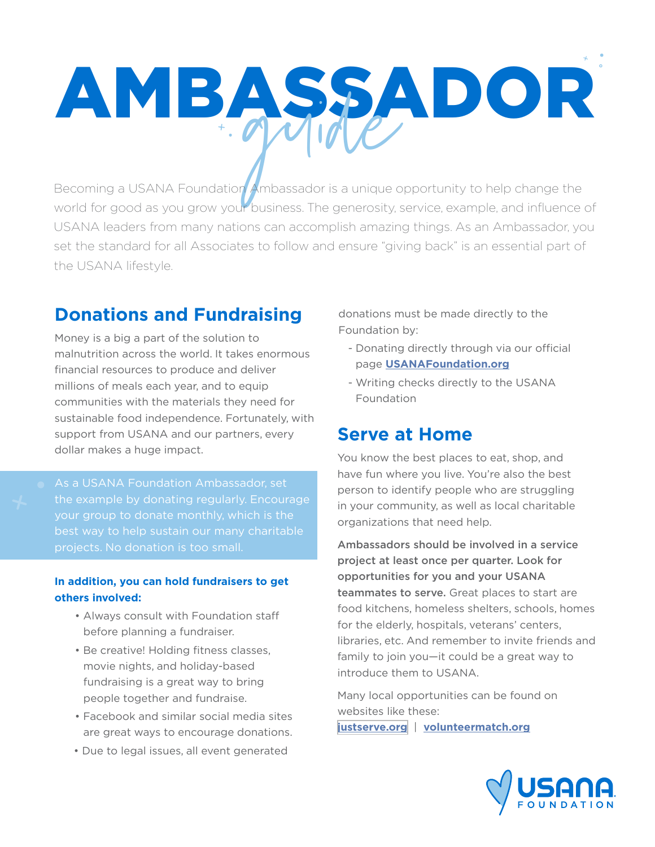# AMBASSADOR

Becoming a USANA Foundation Ambassador is a unique opportunity to help change the world for good as you grow your business. The generosity, service, example, and influence of USANA leaders from many nations can accomplish amazing things. As an Ambassador, you set the standard for all Associates to follow and ensure "giving back" is an essential part of the USANA lifestyle.

# **Donations and Fundraising**

Money is a big a part of the solution to malnutrition across the world. It takes enormous financial resources to produce and deliver millions of meals each year, and to equip communities with the materials they need for sustainable food independence. Fortunately, with support from USANA and our partners, every dollar makes a huge impact.

As a USANA Foundation Ambassador, set the example by donating regularly. Encourage

## **In addition, you can hold fundraisers to get others involved:**

- Always consult with Foundation staff before planning a fundraiser.
- Be creative! Holding fitness classes, movie nights, and holiday-based fundraising is a great way to bring people together and fundraise.
- Facebook and similar social media sites are great ways to encourage donations.
- Due to legal issues, all event generated

donations must be made directly to the Foundation by:

- Donating directly through via our official page **[USANAFoundation.org](http://www.USANAFoundation.org)**
- Writing checks directly to the USANA Foundation

# **Serve at Home**

You know the best places to eat, shop, and have fun where you live. You're also the best person to identify people who are struggling in your community, as well as local charitable organizations that need help.

Ambassadors should be involved in a service project at least once per quarter. Look for opportunities for you and your USANA teammates to serve. Great places to start are food kitchens, homeless shelters, schools, homes for the elderly, hospitals, veterans' centers, libraries, etc. And remember to invite friends and family to join you—it could be a great way to introduce them to USANA.

Many local opportunities can be found on websites like these:

**[justserve.org](http://www.justserve.org/)** | **[volunteermatch.org](http://www.volunteermatch.org)**